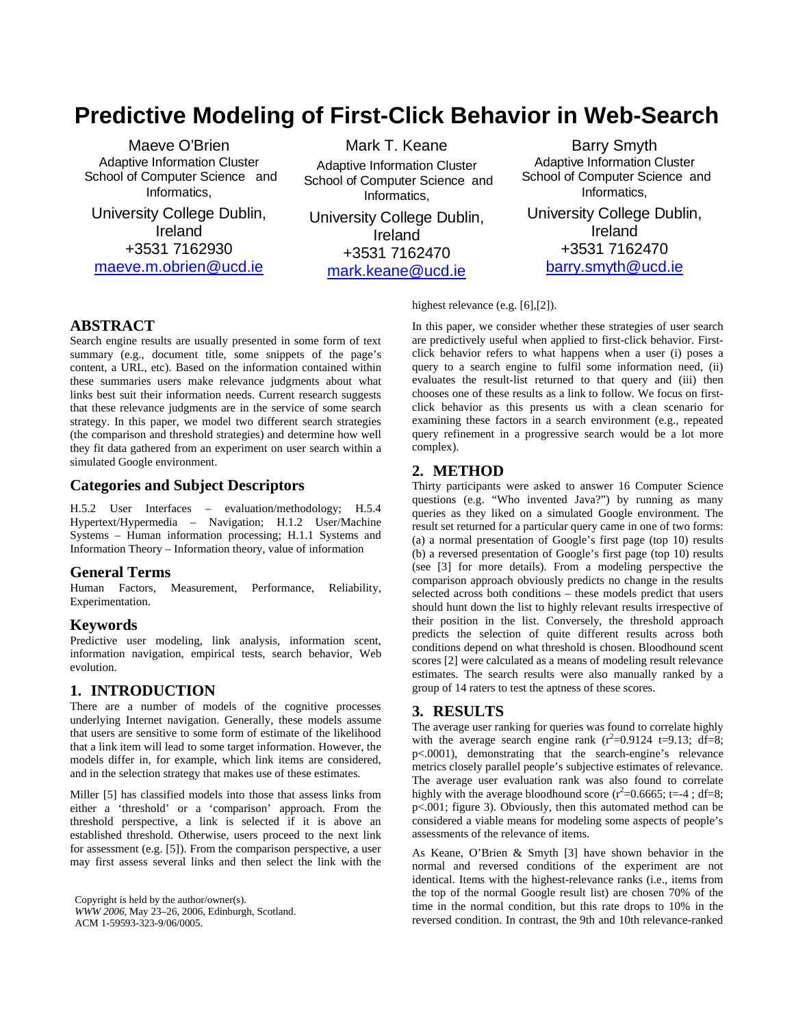# **Predictive Modeling of First-Click Behavior in Web-Search**

Mark T. Keane

Maeve O'Brien Adaptive Information Cluster School of Computer Science and Informatics,

University College Dublin, Ireland +3531 7162930 maeve.m.obrien@ucd.ie

Adaptive Information Cluster School of Computer Science and Informatics, University College Dublin, Ireland

+3531 7162470 mark.keane@ucd.ie

Barry Smyth Adaptive Information Cluster School of Computer Science and Informatics,

University College Dublin, Ireland +3531 7162470 barry.smyth@ucd.ie

highest relevance (e.g. [6],[2]).

## **ABSTRACT**

Search engine results are usually presented in some form of text summary (e.g., document title, some snippets of the page's content, a URL, etc). Based on the information contained within these summaries users make relevance judgments about what links best suit their information needs. Current research suggests that these relevance judgments are in the service of some search strategy. In this paper, we model two different search strategies (the comparison and threshold strategies) and determine how well they fit data gathered from an experiment on user search within a simulated Google environment.

## **Categories and Subject Descriptors**

H.5.2 User Interfaces – evaluation/methodology; H.5.4 Hypertext/Hypermedia – Navigation; H.1.2 User/Machine Systems – Human information processing; H.1.1 Systems and Information Theory – Information theory, value of information

## **General Terms**

Human Factors, Measurement, Performance, Reliability, Experimentation.

#### **Keywords**

Predictive user modeling, link analysis, information scent, information navigation, empirical tests, search behavior, Web evolution.

# **1. INTRODUCTION**

There are a number of models of the cognitive processes underlying Internet navigation. Generally, these models assume that users are sensitive to some form of estimate of the likelihood that a link item will lead to some target information. However, the models differ in, for example, which link items are considered, and in the selection strategy that makes use of these estimates.

Miller [5] has classified models into those that assess links from either a 'threshold' or a 'comparison' approach. From the threshold perspective, a link is selected if it is above an established threshold. Otherwise, users proceed to the next link for assessment (e.g. [5]). From the comparison perspective, a user may first assess several links and then select the link with the

Copyright is held by the author/owner(s). *WWW 2006,* May 23–26, 2006, Edinburgh, Scotland. ACM 1-59593-323-9/06/0005.

In this paper, we consider whether these strategies of user search are predictively useful when applied to first-click behavior. Firstclick behavior refers to what happens when a user (i) poses a query to a search engine to fulfil some information need, (ii) evaluates the result-list returned to that query and (iii) then chooses one of these results as a link to follow. We focus on firstclick behavior as this presents us with a clean scenario for examining these factors in a search environment (e.g., repeated query refinement in a progressive search would be a lot more complex).

# **2. METHOD**

Thirty participants were asked to answer 16 Computer Science questions (e.g. "Who invented Java?") by running as many queries as they liked on a simulated Google environment. The result set returned for a particular query came in one of two forms: (a) a normal presentation of Google's first page (top 10) results (b) a reversed presentation of Google's first page (top 10) results (see [3] for more details). From a modeling perspective the comparison approach obviously predicts no change in the results selected across both conditions – these models predict that users should hunt down the list to highly relevant results irrespective of their position in the list. Conversely, the threshold approach predicts the selection of quite different results across both conditions depend on what threshold is chosen. Bloodhound scent scores [2] were calculated as a means of modeling result relevance estimates. The search results were also manually ranked by a group of 14 raters to test the aptness of these scores.

#### **3. RESULTS**

The average user ranking for queries was found to correlate highly with the average search engine rank  $(r^2=0.9124 \text{ t}=9.13; df=8;$ p<.0001), demonstrating that the search-engine's relevance metrics closely parallel people's subjective estimates of relevance. The average user evaluation rank was also found to correlate highly with the average bloodhound score  $(r^2=0.6665; t=4; df=8;$ p<.001; figure 3). Obviously, then this automated method can be considered a viable means for modeling some aspects of people's assessments of the relevance of items.

As Keane, O'Brien & Smyth [3] have shown behavior in the normal and reversed conditions of the experiment are not identical. Items with the highest-relevance ranks (i.e., items from the top of the normal Google result list) are chosen 70% of the time in the normal condition, but this rate drops to 10% in the reversed condition. In contrast, the 9th and 10th relevance-ranked